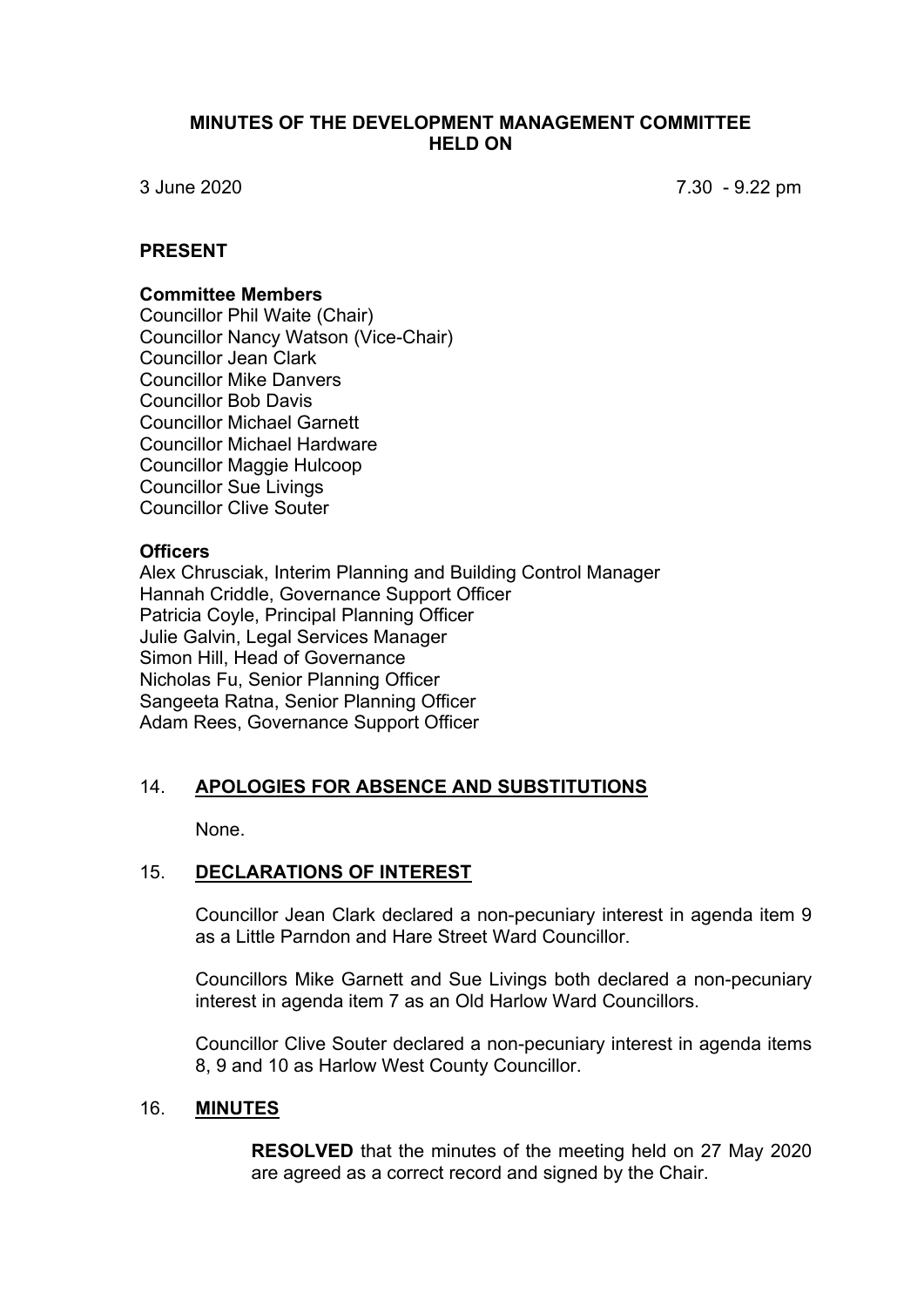## **MINUTES OF THE DEVELOPMENT MANAGEMENT COMMITTEE HELD ON**

3 June 2020 7.30 - 9.22 pm

## **PRESENT**

#### **Committee Members**

Councillor Phil Waite (Chair) Councillor Nancy Watson (Vice-Chair) Councillor Jean Clark Councillor Mike Danvers Councillor Bob Davis Councillor Michael Garnett Councillor Michael Hardware Councillor Maggie Hulcoop Councillor Sue Livings Councillor Clive Souter

#### **Officers**

Alex Chrusciak, Interim Planning and Building Control Manager Hannah Criddle, Governance Support Officer Patricia Coyle, Principal Planning Officer Julie Galvin, Legal Services Manager Simon Hill, Head of Governance Nicholas Fu, Senior Planning Officer Sangeeta Ratna, Senior Planning Officer Adam Rees, Governance Support Officer

## 14. **APOLOGIES FOR ABSENCE AND SUBSTITUTIONS**

None.

## 15. **DECLARATIONS OF INTEREST**

Councillor Jean Clark declared a non-pecuniary interest in agenda item 9 as a Little Parndon and Hare Street Ward Councillor.

Councillors Mike Garnett and Sue Livings both declared a non-pecuniary interest in agenda item 7 as an Old Harlow Ward Councillors.

Councillor Clive Souter declared a non-pecuniary interest in agenda items 8, 9 and 10 as Harlow West County Councillor.

## 16. **MINUTES**

**RESOLVED** that the minutes of the meeting held on 27 May 2020 are agreed as a correct record and signed by the Chair.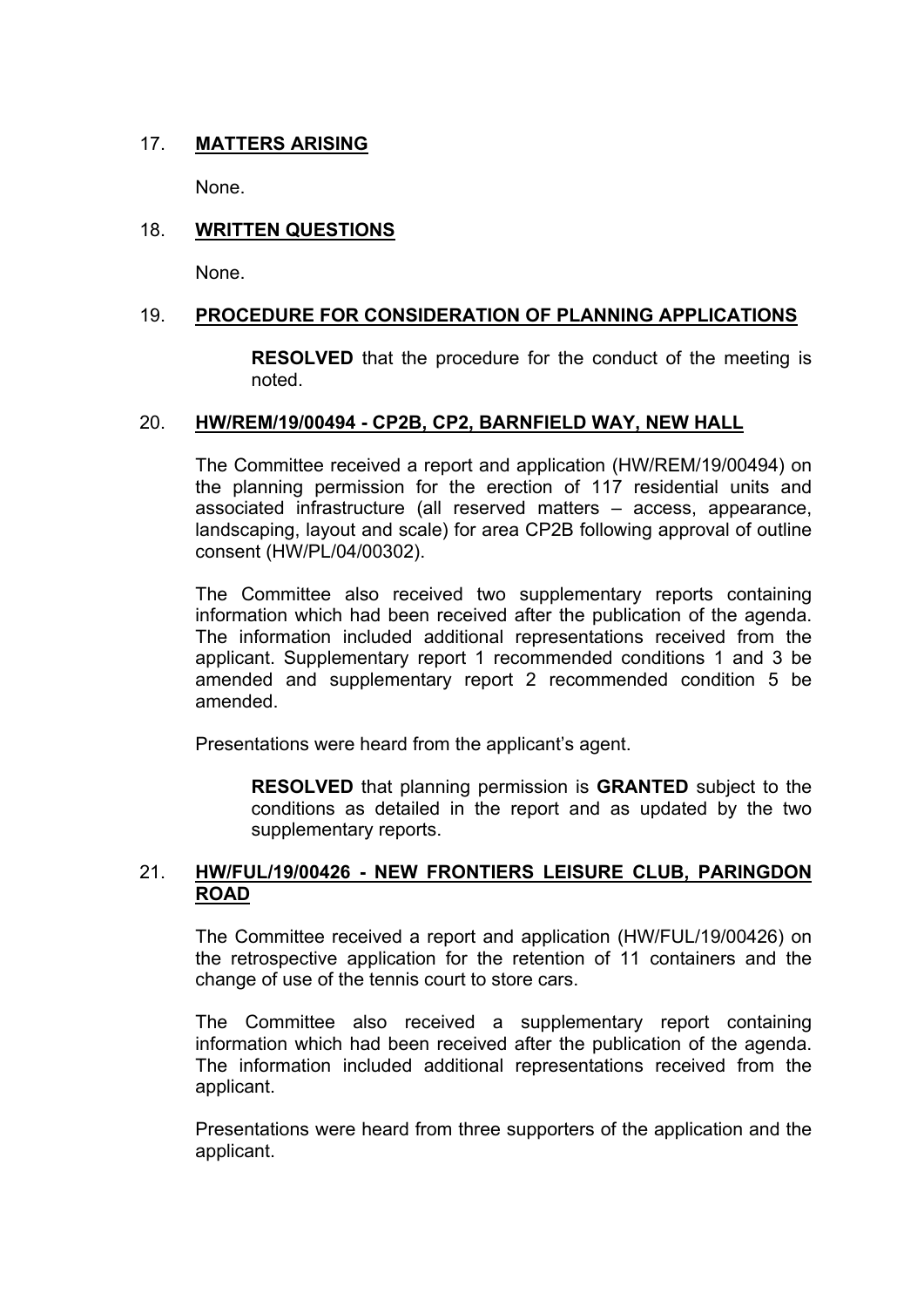## 17. **MATTERS ARISING**

None.

## 18. **WRITTEN QUESTIONS**

None.

## 19. **PROCEDURE FOR CONSIDERATION OF PLANNING APPLICATIONS**

**RESOLVED** that the procedure for the conduct of the meeting is noted.

## 20. **HW/REM/19/00494 - CP2B, CP2, BARNFIELD WAY, NEW HALL**

The Committee received a report and application (HW/REM/19/00494) on the planning permission for the erection of 117 residential units and associated infrastructure (all reserved matters – access, appearance, landscaping, layout and scale) for area CP2B following approval of outline consent (HW/PL/04/00302).

The Committee also received two supplementary reports containing information which had been received after the publication of the agenda. The information included additional representations received from the applicant. Supplementary report 1 recommended conditions 1 and 3 be amended and supplementary report 2 recommended condition 5 be amended.

Presentations were heard from the applicant's agent.

**RESOLVED** that planning permission is **GRANTED** subject to the conditions as detailed in the report and as updated by the two supplementary reports.

## 21. **HW/FUL/19/00426 - NEW FRONTIERS LEISURE CLUB, PARINGDON ROAD**

The Committee received a report and application (HW/FUL/19/00426) on the retrospective application for the retention of 11 containers and the change of use of the tennis court to store cars.

The Committee also received a supplementary report containing information which had been received after the publication of the agenda. The information included additional representations received from the applicant.

Presentations were heard from three supporters of the application and the applicant.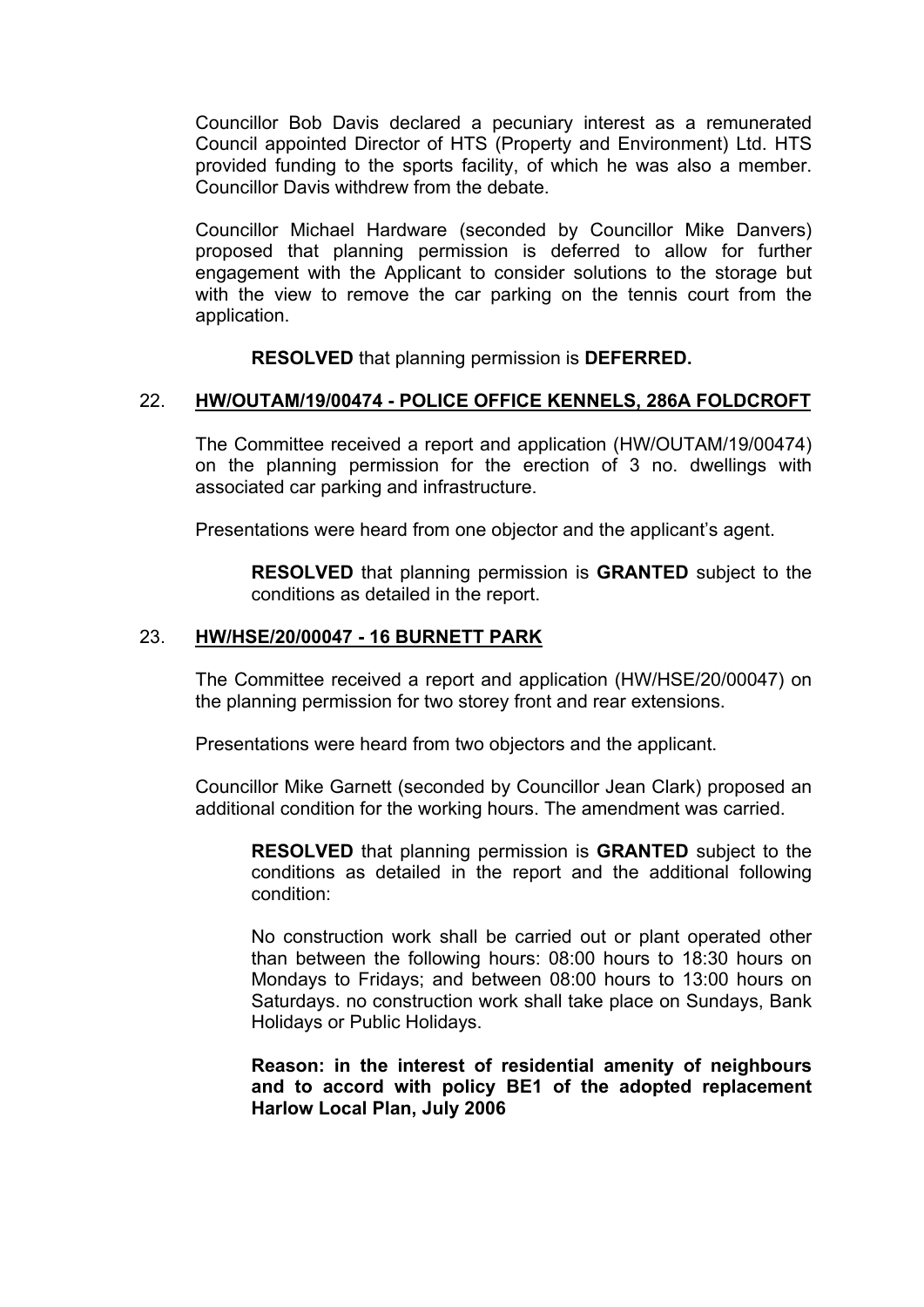Councillor Bob Davis declared a pecuniary interest as a remunerated Council appointed Director of HTS (Property and Environment) Ltd. HTS provided funding to the sports facility, of which he was also a member. Councillor Davis withdrew from the debate.

Councillor Michael Hardware (seconded by Councillor Mike Danvers) proposed that planning permission is deferred to allow for further engagement with the Applicant to consider solutions to the storage but with the view to remove the car parking on the tennis court from the application.

**RESOLVED** that planning permission is **DEFERRED.**

## 22. **HW/OUTAM/19/00474 - POLICE OFFICE KENNELS, 286A FOLDCROFT**

The Committee received a report and application (HW/OUTAM/19/00474) on the planning permission for the erection of 3 no. dwellings with associated car parking and infrastructure.

Presentations were heard from one objector and the applicant's agent.

**RESOLVED** that planning permission is **GRANTED** subject to the conditions as detailed in the report.

#### 23. **HW/HSE/20/00047 - 16 BURNETT PARK**

The Committee received a report and application (HW/HSE/20/00047) on the planning permission for two storey front and rear extensions.

Presentations were heard from two objectors and the applicant.

Councillor Mike Garnett (seconded by Councillor Jean Clark) proposed an additional condition for the working hours. The amendment was carried.

**RESOLVED** that planning permission is **GRANTED** subject to the conditions as detailed in the report and the additional following condition:

No construction work shall be carried out or plant operated other than between the following hours: 08:00 hours to 18:30 hours on Mondays to Fridays; and between 08:00 hours to 13:00 hours on Saturdays. no construction work shall take place on Sundays, Bank Holidays or Public Holidays.

**Reason: in the interest of residential amenity of neighbours and to accord with policy BE1 of the adopted replacement Harlow Local Plan, July 2006**